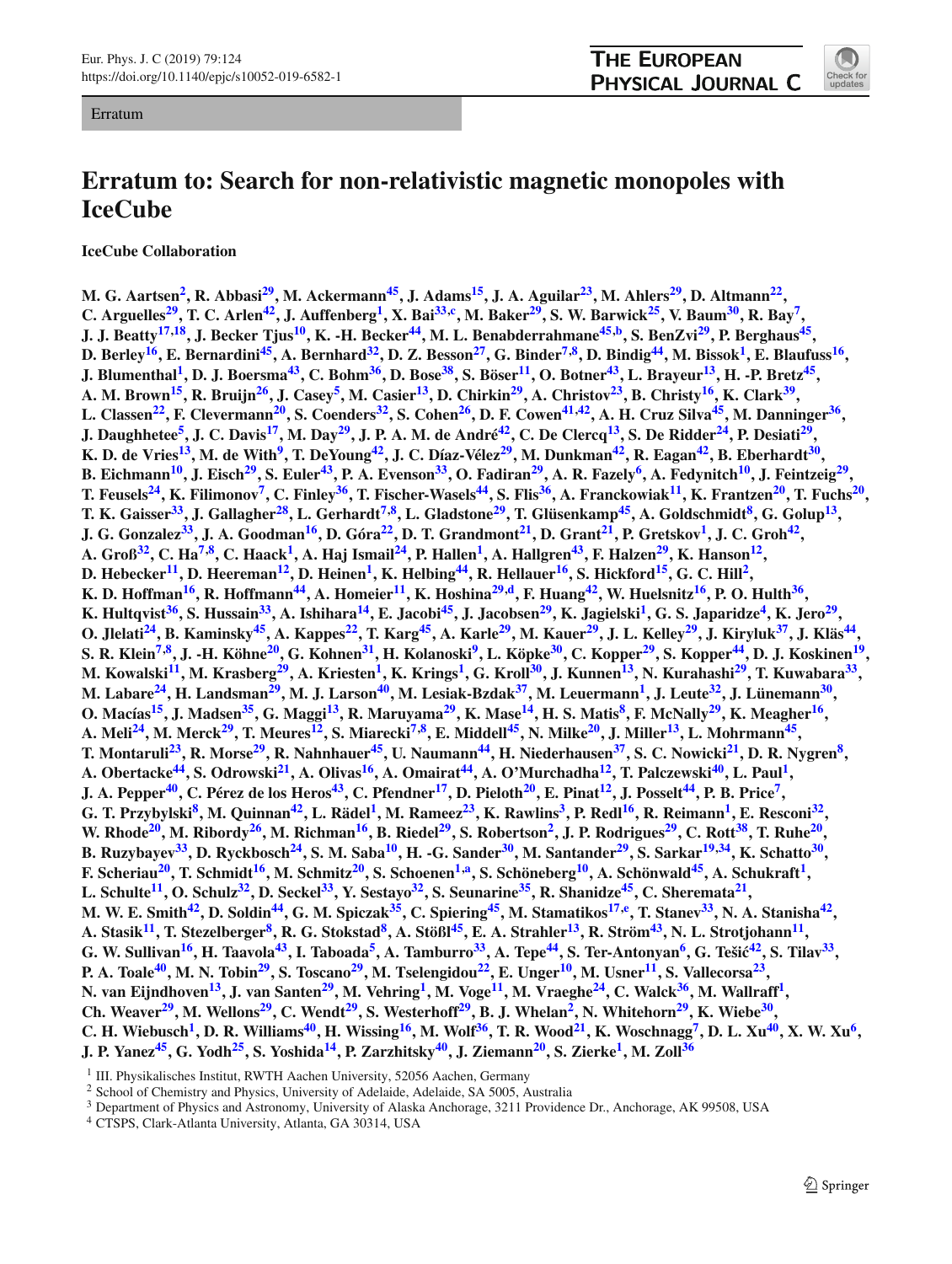#### Erratum

# **THE EUROPEAN** PHYSICAL JOURNAL C



# **Erratum to: Search for non-relativistic magnetic monopoles with IceCube**

**IceCube Collaboration**

**M. G. Aartsen[2](#page-0-0) , R. Abbasi[29](#page-1-0), M. Ackermann[45](#page-1-1), J. Adams[15](#page-1-2), J. A. Aguilar[23](#page-1-3), M. Ahlers[29](#page-1-0), D. Altmann[22](#page-1-4) ,** C. Arguelles<sup>[29](#page-1-0)</sup>, T. C. Arlen<sup>[42](#page-1-5)</sup>, J. Auffenberg<sup>[1](#page-0-0)</sup>, X. Bai<sup>[33,](#page-1-6)[c](#page-1-7)</sup>, M. Baker<sup>29</sup>, S. W. Barwick<sup>[25](#page-1-8)</sup>, V. Baum<sup>[30](#page-1-9)</sup>, R. Bay<sup>[7](#page-1-10)</sup>, **J. J. Beatty[17](#page-1-11)[,18](#page-1-12), J. Becker Tjus[10](#page-1-13), K. -H. Becker[44](#page-1-14), M. L. Benabderrahmane[45](#page-1-1)[,b](#page-1-15) , S. BenZvi[29](#page-1-0), P. Berghaus[45](#page-1-1) ,** D. Berley<sup>[16](#page-1-16)</sup>, E. Bernardini<sup>[45](#page-1-1)</sup>, A. Bernhard<sup>[32](#page-1-17)</sup>, D. Z. Besson<sup>[27](#page-1-18)</sup>, G. Binder<sup>[7](#page-1-10)[,8](#page-1-19)</sup>, D. Bindig<sup>[44](#page-1-14)</sup>, M. Bissok<sup>[1](#page-0-0)</sup>, E. Blaufuss<sup>16</sup>, J. Blumenthal<sup>[1](#page-0-0)</sup>, D. J. Boersma<sup>[43](#page-1-20)</sup>, C. Bohm<sup>[36](#page-1-21)</sup>, D. Bose<sup>[38](#page-1-22)</sup>, S. Böser<sup>[11](#page-1-23)</sup>, O. Botner<sup>43</sup>, L. Brayeur<sup>[13](#page-1-24)</sup>, H. -P. Bretz<sup>[45](#page-1-1)</sup>, A. M. Brown<sup>[15](#page-1-2)</sup>, R. Bruijn<sup>[26](#page-1-25)</sup>, J. Casey<sup>[5](#page-0-1)</sup>, M. Casier<sup>[13](#page-1-24)</sup>, D. Chirkin<sup>[29](#page-1-0)</sup>, A. Christov<sup>[23](#page-1-3)</sup>, B. Christy<sup>[16](#page-1-16)</sup>, K. Clark<sup>[39](#page-1-26)</sup>, **L. Classen[22](#page-1-4), F. Clevermann[20](#page-1-27), S. Coenders[32](#page-1-17), S. Cohen[26](#page-1-25), D. F. Cowen[41](#page-1-28)[,42](#page-1-5), A. H. Cruz Silva[45](#page-1-1), M. Danninger[36](#page-1-21) , J. Daughhetee[5](#page-0-1) , J. C. Davis[17](#page-1-11), M. Day[29](#page-1-0), J. P. A. M. de André[42](#page-1-5), C. De Clercq[13](#page-1-24), S. De Ridder[24](#page-1-29), P. Desiati[29](#page-1-0) , K. D. de Vries[13](#page-1-24), M. de With[9](#page-1-30) , T. DeYoung[42](#page-1-5), J. C. Díaz-Vélez[29](#page-1-0), M. Dunkman[42](#page-1-5), R. Eagan[42](#page-1-5), B. Eberhardt[30](#page-1-9) ,** B. Eichmann<sup>[10](#page-1-13)</sup>, J. Eisch<sup>[29](#page-1-0)</sup>, S. Euler<sup>[43](#page-1-20)</sup>, P. A. Evenson<sup>[33](#page-1-6)</sup>, O. Fadiran<sup>29</sup>, A. R. Fazely<sup>[6](#page-1-31)</sup>, A. Fedynitch<sup>10</sup>, J. Feintzeig<sup>29</sup> **,** T. Feusels<sup>[24](#page-1-29)</sup>, K. Filimonov<sup>[7](#page-1-10)</sup>, C. Finley<sup>[36](#page-1-21)</sup>, T. Fischer-Wasels<sup>[44](#page-1-14)</sup>, S. Flis<sup>36</sup>, A. Franckowiak<sup>[11](#page-1-23)</sup>, K. Frantzen<sup>[20](#page-1-27)</sup>, T. Fuchs<sup>20</sup>, T. K. Gaisser<sup>[33](#page-1-6)</sup>, J. Gallagher<sup>[28](#page-1-32)</sup>, L. Gerhardt<sup>[7](#page-1-10)[,8](#page-1-19)</sup>, L. Gladstone<sup>[29](#page-1-0)</sup>, T. Glüsenkamp<sup>[45](#page-1-1)</sup>, A. Goldschmidt<sup>[8](#page-1-19)</sup>, G. Golup<sup>[13](#page-1-24)</sup>, **J. G. Gonzalez[33](#page-1-6), J. A. Goodman[16](#page-1-16), D. Góra[22](#page-1-4), D. T. Grandmont[21](#page-1-33), D. Grant[21](#page-1-33), P. Gretskov[1](#page-0-0) , J. C. Groh[42](#page-1-5) ,** A. Groß<sup>[32](#page-1-17)</sup>, C. Ha<sup>[7](#page-1-10)[,8](#page-1-19)</sup>, C. Haack<sup>[1](#page-0-0)</sup>, A. Haj Ismail<sup>[24](#page-1-29)</sup>, P. Hallen<sup>1</sup>, A. Hallgren<sup>[43](#page-1-20)</sup>, F. Halzen<sup>[29](#page-1-0)</sup>, K. Hanson<sup>[12](#page-1-34)</sup>, **D. Hebecker[11](#page-1-23), D. Heereman[12](#page-1-34), D. Heinen[1](#page-0-0) , K. Helbing[44](#page-1-14), R. Hellauer[16](#page-1-16), S. Hickford[15](#page-1-2), G. C. Hill[2](#page-0-0) , K. D. Hoffman[16](#page-1-16), R. Hoffmann[44](#page-1-14), A. Homeier[11](#page-1-23), K. Hoshina[29](#page-1-0)[,d](#page-1-35) , F. Huang[42](#page-1-5), W. Huelsnitz[16](#page-1-16), P. O. Hulth[36](#page-1-21) ,** K. Hultqvist<sup>[36](#page-1-21)</sup>, S. Hussain<sup>[33](#page-1-6)</sup>, A. Ishihara<sup>[14](#page-1-36)</sup>, E. Jacobi<sup>[45](#page-1-1)</sup>, J. Jacobsen<sup>[29](#page-1-0)</sup>, K. Jagielski<sup>[1](#page-0-0)</sup>, G. S. Japaridze<sup>[4](#page-0-2)</sup>, K. Jero<sup>29</sup>, O. Jlelati<sup>[24](#page-1-29)</sup>, B. Kaminsky<sup>[45](#page-1-1)</sup>, A. Kappes<sup>[22](#page-1-4)</sup>, T. Karg<sup>45</sup>, A. Karle<sup>[29](#page-1-0)</sup>, M. Kauer<sup>29</sup>, J. L. Kelley<sup>29</sup>, J. Kiryluk<sup>[37](#page-1-37)</sup>, J. Kläs<sup>[44](#page-1-14)</sup>, S. R. Klein<sup>[7](#page-1-10)[,8](#page-1-19)</sup>, J. -H. Köhne<sup>[20](#page-1-27)</sup>, G. Kohnen<sup>[31](#page-1-38)</sup>, H. Kolanoski<sup>[9](#page-1-30)</sup>, L. Köpke<sup>[30](#page-1-9)</sup>, C. Kopper<sup>[29](#page-1-0)</sup>, S. Kopper<sup>[44](#page-1-14)</sup>, D. J. Koskinen<sup>[19](#page-1-39)</sup>, M. Kowalski<sup>[11](#page-1-23)</sup>, M. Krasberg<sup>[29](#page-1-0)</sup>, A. Kriesten<sup>[1](#page-0-0)</sup>, K. Krings<sup>1</sup>, G. Kroll<sup>[30](#page-1-9)</sup>, J. Kunnen<sup>[13](#page-1-24)</sup>, N. Kurahashi<sup>29</sup>, T. Kuwabara<sup>[33](#page-1-6)</sup>, **M. Labare[24](#page-1-29), H. Landsman[29](#page-1-0), M. J. Larson[40](#page-1-40), M. Lesiak-Bzdak[37](#page-1-37), M. Leuermann[1](#page-0-0) , J. Leute[32](#page-1-17), J. Lünemann[30](#page-1-9) ,** O. Macías<sup>[15](#page-1-2)</sup>, J. Madsen<sup>[35](#page-1-41)</sup>, G. Maggi<sup>[13](#page-1-24)</sup>, R. Maruyama<sup>[29](#page-1-0)</sup>, K. Mase<sup>[14](#page-1-36)</sup>, H. S. Matis<sup>[8](#page-1-19)</sup>, F. McNally<sup>29</sup>, K. Meagher<sup>[16](#page-1-16)</sup>, A. Meli $^{24}$  $^{24}$  $^{24}$ , M. Merck $^{29}$  $^{29}$  $^{29}$ , T. Meures $^{12}$  $^{12}$  $^{12}$ , S. Miarecki $^{7,8}$  $^{7,8}$  $^{7,8}$  $^{7,8}$ , E. Middell $^{45}$  $^{45}$  $^{45}$ , N. Milke $^{20}$  $^{20}$  $^{20}$ , J. Miller $^{13}$  $^{13}$  $^{13}$ , L. Mohrmann $^{45}$ , **T. Montaruli[23](#page-1-3), R. Morse[29](#page-1-0), R. Nahnhauer[45](#page-1-1), U. Naumann[44](#page-1-14), H. Niederhausen[37](#page-1-37), S. C. Nowicki[21](#page-1-33), D. R. Nygren[8](#page-1-19) , A. Obertacke[44](#page-1-14), S. Odrowski[21](#page-1-33), A. Olivas[16](#page-1-16), A. Omairat[44](#page-1-14), A. O'Murchadha[12](#page-1-34), T. Palczewski[40](#page-1-40), L. Paul[1](#page-0-0) , J. A. Pepper[40](#page-1-40), C. Pérez de los Heros[43](#page-1-20), C. Pfendner[17](#page-1-11), D. Pieloth[20](#page-1-27), E. Pinat[12](#page-1-34), J. Posselt[44](#page-1-14), P. B. Price[7](#page-1-10) ,** G. T. Przybylski<sup>[8](#page-1-19)</sup>, M. Quinnan<sup>[42](#page-1-5)</sup>, L. Rädel<sup>[1](#page-0-0)</sup>, M. Rameez<sup>[23](#page-1-3)</sup>, K. Rawlins<sup>[3](#page-0-3)</sup>, P. Redl<sup>[16](#page-1-16)</sup>, R. Reimann<sup>1</sup>, E. Resconi<sup>[32](#page-1-17)</sup>, W. Rhode<sup>[20](#page-1-27)</sup>, M. Ribordy<sup>[26](#page-1-25)</sup>, M. Richman<sup>[16](#page-1-16)</sup>, B. Riedel<sup>[29](#page-1-0)</sup>, S. Robertson<sup>[2](#page-0-0)</sup>, J. P. Rodrigues<sup>29</sup>, C. Rott<sup>[38](#page-1-22)</sup>, T. Ruhe<sup>20</sup>, **B. Ruzybayev[33](#page-1-6), D. Ryckbosch[24](#page-1-29), S. M. Saba[10](#page-1-13), H. -G. Sander[30](#page-1-9), M. Santander[29](#page-1-0), S. Sarkar[19](#page-1-39)[,34](#page-1-42), K. Schatto[30](#page-1-9) , F. Scheriau[20](#page-1-27), T. Schmidt[16](#page-1-16), M. Schmitz[20](#page-1-27), S. Schoenen[1](#page-0-0)[,a](#page-1-43) , S. Schöneberg[10](#page-1-13), A. Schönwald[45](#page-1-1), A. Schukraft[1](#page-0-0) , L. Schulte[11](#page-1-23), O. Schulz[32](#page-1-17), D. Seckel[33](#page-1-6), Y. Sestayo[32](#page-1-17), S. Seunarine[35](#page-1-41), R. Shanidze[45](#page-1-1), C. Sheremata[21](#page-1-33) ,** M. W. E. Smith<sup>[42](#page-1-5)</sup>, D. Soldin<sup>[44](#page-1-14)</sup>, G. M. Spiczak<sup>[35](#page-1-41)</sup>, C. Spiering<sup>[45](#page-1-1)</sup>, M. Stamatikos<sup>[17](#page-1-11)[,e](#page-1-44)</sup>, T. Stanev<sup>[33](#page-1-6)</sup>, N. A. Stanisha<sup>42</sup>, **A. Stasik[11](#page-1-23), T. Stezelberger[8](#page-1-19) , R. G. Stokstad[8](#page-1-19) , A. Stößl[45](#page-1-1), E. A. Strahler[13](#page-1-24), R. Ström[43](#page-1-20), N. L. Strotjohann[11](#page-1-23) ,** G. W. Sullivan<sup>[16](#page-1-16)</sup>, H. Taavola<sup>[43](#page-1-20)</sup>, I. Taboada<sup>[5](#page-0-1)</sup>, A. Tamburro<sup>[33](#page-1-6)</sup>, A. Tepe<sup>[44](#page-1-14)</sup>, S. Ter-Antonyan<sup>[6](#page-1-31)</sup>, G. Tešić<sup>[42](#page-1-5)</sup>, S. Tilav<sup>33</sup>, **P. A. Toale[40](#page-1-40), M. N. Tobin[29](#page-1-0), S. Toscano[29](#page-1-0), M. Tselengidou[22](#page-1-4), E. Unger[10](#page-1-13), M. Usner[11](#page-1-23), S. Vallecorsa[23](#page-1-3) , N. van Eijndhoven[13](#page-1-24), J. van Santen[29](#page-1-0), M. Vehring[1](#page-0-0) , M. Voge[11](#page-1-23), M. Vraeghe[24](#page-1-29), C. Walck[36](#page-1-21), M. Wallraff[1](#page-0-0) , Ch. Weaver[29](#page-1-0), M. Wellons[29](#page-1-0), C. Wendt[29](#page-1-0), S. Westerhoff[29](#page-1-0), B. J. Whelan[2](#page-0-0) , N. Whitehorn[29](#page-1-0), K. Wiebe[30](#page-1-9) ,** C. H. Wiebusch<sup>[1](#page-0-0)</sup>, D. R. Williams<sup>[40](#page-1-40)</sup>, H. Wissing<sup>[16](#page-1-16)</sup>, M. Wolf<sup>[36](#page-1-21)</sup>, T. R. Wood<sup>[21](#page-1-33)</sup>, K. Woschnagg<sup>[7](#page-1-10)</sup>, D. L. Xu<sup>40</sup>, X. W. Xu<sup>[6](#page-1-31)</sup>, **J. P. Yanez[45](#page-1-1), G. Yodh[25](#page-1-8), S. Yoshida[14](#page-1-36), P. Zarzhitsky[40](#page-1-40), J. Ziemann[20](#page-1-27), S. Zierke[1](#page-0-0) , M. Zoll[36](#page-1-21)**

<span id="page-0-2"></span><span id="page-0-1"></span><sup>4</sup> CTSPS, Clark-Atlanta University, Atlanta, GA 30314, USA

<span id="page-0-0"></span><sup>&</sup>lt;sup>1</sup> III. Physikalisches Institut, RWTH Aachen University, 52056 Aachen, Germany

<span id="page-0-3"></span><sup>2</sup> School of Chemistry and Physics, University of Adelaide, Adelaide, SA 5005, Australia

<sup>3</sup> Department of Physics and Astronomy, University of Alaska Anchorage, 3211 Providence Dr., Anchorage, AK 99508, USA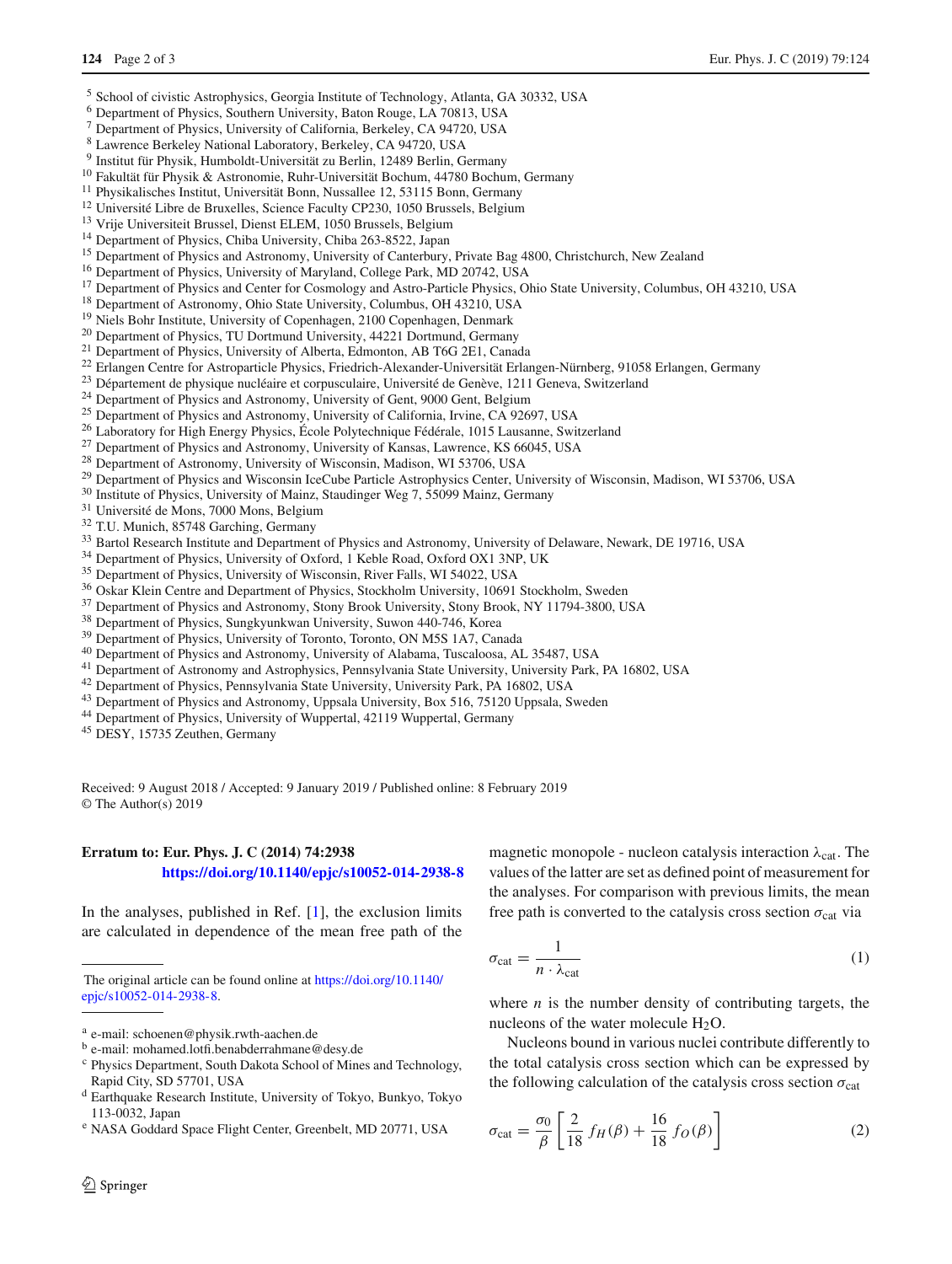- <sup>5</sup> School of civistic Astrophysics, Georgia Institute of Technology, Atlanta, GA 30332, USA
- <sup>6</sup> Department of Physics, Southern University, Baton Rouge, LA 70813, USA
- <span id="page-1-31"></span><span id="page-1-19"></span><span id="page-1-10"></span><sup>7</sup> Department of Physics, University of California, Berkeley, CA 94720, USA
- <span id="page-1-30"></span><span id="page-1-13"></span><sup>8</sup> Lawrence Berkeley National Laboratory, Berkeley, CA 94720, USA
- <span id="page-1-34"></span><span id="page-1-24"></span><span id="page-1-23"></span><sup>9</sup> Institut für Physik, Humboldt-Universität zu Berlin, 12489 Berlin, Germany
- <sup>10</sup> Fakultät für Physik & Astronomie, Ruhr-Universität Bochum, 44780 Bochum, Germany
- <sup>11</sup> Physikalisches Institut, Universität Bonn, Nussallee 12, 53115 Bonn, Germany
- <sup>12</sup> Université Libre de Bruxelles, Science Faculty CP230, 1050 Brussels, Belgium
- <span id="page-1-36"></span><sup>13</sup> Vrije Universiteit Brussel, Dienst ELEM, 1050 Brussels, Belgium
- <span id="page-1-2"></span><sup>14</sup> Department of Physics, Chiba University, Chiba 263-8522, Japan
- <span id="page-1-16"></span><sup>15</sup> Department of Physics and Astronomy, University of Canterbury, Private Bag 4800, Christchurch, New Zealand
- <span id="page-1-11"></span><sup>16</sup> Department of Physics, University of Maryland, College Park, MD 20742, USA
- <sup>17</sup> Department of Physics and Center for Cosmology and Astro-Particle Physics, Ohio State University, Columbus, OH 43210, USA
- <span id="page-1-39"></span><sup>18</sup> Department of Astronomy, Ohio State University, Columbus, OH 43210, USA
- <span id="page-1-33"></span><span id="page-1-27"></span><span id="page-1-4"></span><sup>19</sup> Niels Bohr Institute, University of Copenhagen, 2100 Copenhagen, Denmark
- <sup>20</sup> Department of Physics, TU Dortmund University, 44221 Dortmund, Germany
- <sup>21</sup> Department of Physics, University of Alberta, Edmonton, AB T6G 2E1, Canada
- <sup>22</sup> Erlangen Centre for Astroparticle Physics, Friedrich-Alexander-Universität Erlangen-Nürnberg, 91058 Erlangen, Germany
- <sup>23</sup> Département de physique nucléaire et corpusculaire, Université de Genève, 1211 Geneva, Switzerland
- <sup>24</sup> Department of Physics and Astronomy, University of Gent, 9000 Gent, Belgium
- <sup>25</sup> Department of Physics and Astronomy, University of California, Irvine, CA 92697, USA
- <sup>26</sup> Laboratory for High Energy Physics, École Polytechnique Fédérale, 1015 Lausanne, Switzerland
- <sup>27</sup> Department of Physics and Astronomy, University of Kansas, Lawrence, KS 66045, USA
- <sup>28</sup> Department of Astronomy, University of Wisconsin, Madison, WI 53706, USA

<sup>29</sup> Department of Physics and Wisconsin IceCube Particle Astrophysics Center, University of Wisconsin, Madison, WI 53706, USA

<span id="page-1-17"></span><sup>30</sup> Institute of Physics, University of Mainz, Staudinger Weg 7, 55099 Mainz, Germany

- <sup>31</sup> Université de Mons, 7000 Mons, Belgium
- <span id="page-1-6"></span><sup>32</sup> T.U. Munich, 85748 Garching, Germany
- <sup>33</sup> Bartol Research Institute and Department of Physics and Astronomy, University of Delaware, Newark, DE 19716, USA
- <sup>34</sup> Department of Physics, University of Oxford, 1 Keble Road, Oxford OX1 3NP, UK
- <sup>35</sup> Department of Physics, University of Wisconsin, River Falls, WI 54022, USA
- <sup>36</sup> Oskar Klein Centre and Department of Physics, Stockholm University, 10691 Stockholm, Sweden
- <sup>37</sup> Department of Physics and Astronomy, Stony Brook University, Stony Brook, NY 11794-3800, USA
- <sup>38</sup> Department of Physics, Sungkyunkwan University, Suwon 440-746, Korea
- <sup>39</sup> Department of Physics, University of Toronto, Toronto, ON M5S 1A7, Canada
- <sup>40</sup> Department of Physics and Astronomy, University of Alabama, Tuscaloosa, AL 35487, USA
- <sup>41</sup> Department of Astronomy and Astrophysics, Pennsylvania State University, University Park, PA 16802, USA
- <sup>42</sup> Department of Physics, Pennsylvania State University, University Park, PA 16802, USA
- <sup>43</sup> Department of Physics and Astronomy, Uppsala University, Box 516, 75120 Uppsala, Sweden
- <sup>44</sup> Department of Physics, University of Wuppertal, 42119 Wuppertal, Germany
- <sup>45</sup> DESY, 15735 Zeuthen, Germany

Received: 9 August 2018 / Accepted: 9 January 2019 / Published online: 8 February 2019 © The Author(s) 2019

## **Erratum to: Eur. Phys. J. C (2014) 74:2938 <https://doi.org/10.1140/epjc/s10052-014-2938-8>**

In the analyses, published in Ref. [\[1](#page-2-0)], the exclusion limits are calculated in dependence of the mean free path of the

<span id="page-1-44"></span><sup>e</sup> NASA Goddard Space Flight Center, Greenbelt, MD 20771, USA

<span id="page-1-42"></span><span id="page-1-41"></span><span id="page-1-40"></span><span id="page-1-38"></span><span id="page-1-37"></span><span id="page-1-32"></span><span id="page-1-29"></span><span id="page-1-28"></span><span id="page-1-26"></span><span id="page-1-25"></span><span id="page-1-22"></span><span id="page-1-21"></span><span id="page-1-20"></span><span id="page-1-18"></span><span id="page-1-14"></span><span id="page-1-12"></span><span id="page-1-9"></span><span id="page-1-8"></span><span id="page-1-5"></span><span id="page-1-3"></span><span id="page-1-1"></span><span id="page-1-0"></span>magnetic monopole - nucleon catalysis interaction  $\lambda_{cat}$ . The values of the latter are set as defined point of measurement for the analyses. For comparison with previous limits, the mean free path is converted to the catalysis cross section  $\sigma_{cat}$  via

<span id="page-1-45"></span>
$$
\sigma_{\rm cat} = \frac{1}{n \cdot \lambda_{\rm cat}} \tag{1}
$$

where  $n$  is the number density of contributing targets, the nucleons of the water molecule  $H_2O$ .

Nucleons bound in various nuclei contribute differently to the total catalysis cross section which can be expressed by the following calculation of the catalysis cross section  $\sigma_{\text{cat}}$ 

<span id="page-1-46"></span>
$$
\sigma_{\text{cat}} = \frac{\sigma_0}{\beta} \left[ \frac{2}{18} f_H(\beta) + \frac{16}{18} f_O(\beta) \right]
$$
 (2)

The original article can be found online at [https://doi.org/10.1140/](https://doi.org/10.1140/epjc/s10052-014-2938-8) [epjc/s10052-014-2938-8.](https://doi.org/10.1140/epjc/s10052-014-2938-8)

<span id="page-1-43"></span>a e-mail: schoenen@physik.rwth-aachen.de

<span id="page-1-15"></span>b e-mail: mohamed.lotfi.benabderrahmane@desy.de

<span id="page-1-7"></span><sup>c</sup> Physics Department, South Dakota School of Mines and Technology, Rapid City, SD 57701, USA

<span id="page-1-35"></span><sup>d</sup> Earthquake Research Institute, University of Tokyo, Bunkyo, Tokyo 113-0032, Japan